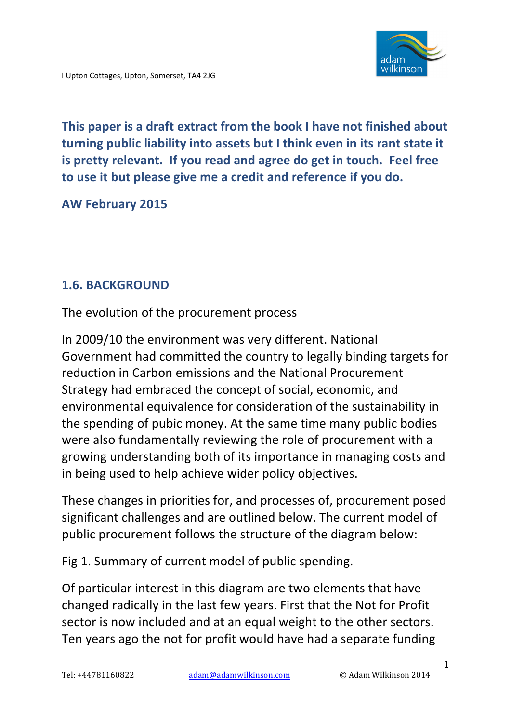

**This paper is a draft extract from the book I have not finished about turning public liability into assets but I think even in its rant state it** is pretty relevant. If you read and agree do get in touch. Feel free to use it but please give me a credit and reference if you do.

**AW February 2015**

### **1.6. BACKGROUND**

The evolution of the procurement process

In 2009/10 the environment was very different. National Government had committed the country to legally binding targets for reduction in Carbon emissions and the National Procurement Strategy had embraced the concept of social, economic, and environmental equivalence for consideration of the sustainability in the spending of pubic money. At the same time many public bodies were also fundamentally reviewing the role of procurement with a growing understanding both of its importance in managing costs and in being used to help achieve wider policy objectives.

These changes in priorities for, and processes of, procurement posed significant challenges and are outlined below. The current model of public procurement follows the structure of the diagram below:

Fig 1. Summary of current model of public spending.

Of particular interest in this diagram are two elements that have changed radically in the last few years. First that the Not for Profit sector is now included and at an equal weight to the other sectors. Ten years ago the not for profit would have had a separate funding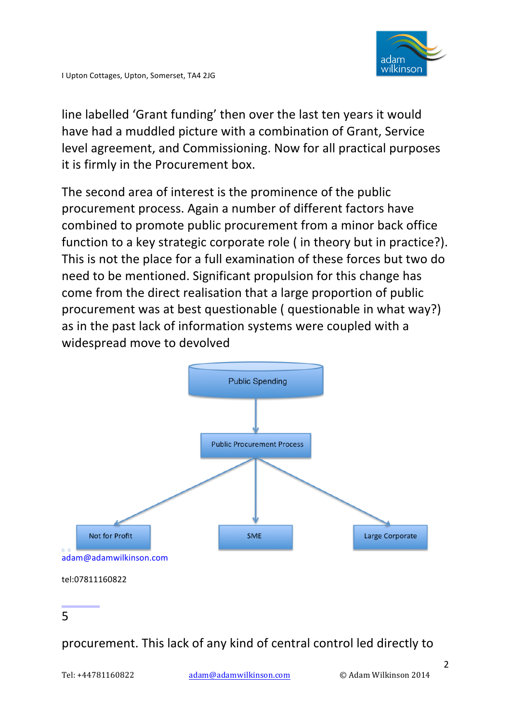

line labelled 'Grant funding' then over the last ten years it would have had a muddled picture with a combination of Grant, Service level agreement, and Commissioning. Now for all practical purposes it is firmly in the Procurement box.

The second area of interest is the prominence of the public procurement process. Again a number of different factors have combined to promote public procurement from a minor back office function to a key strategic corporate role ( in theory but in practice?). This is not the place for a full examination of these forces but two do need to be mentioned. Significant propulsion for this change has come from the direct realisation that a large proportion of public procurement was at best questionable ( questionable in what way?) as in the past lack of information systems were coupled with a widespread move to devolved



# procurement. This lack of any kind of central control led directly to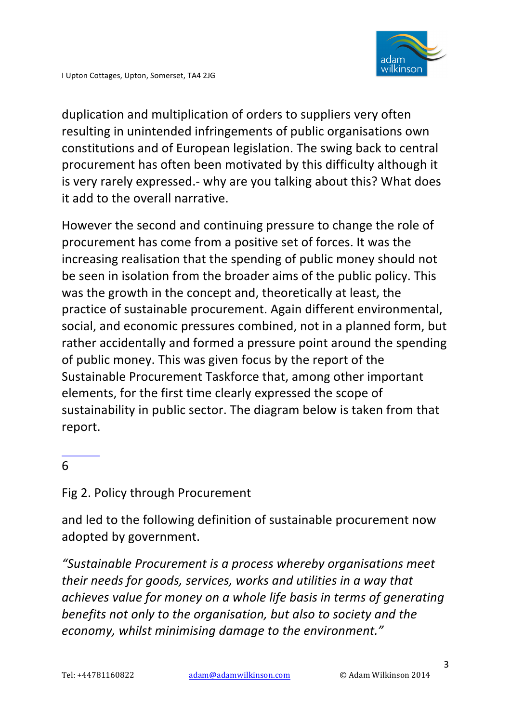

duplication and multiplication of orders to suppliers very often resulting in unintended infringements of public organisations own constitutions and of European legislation. The swing back to central procurement has often been motivated by this difficulty although it is very rarely expressed.- why are you talking about this? What does it add to the overall narrative.

However the second and continuing pressure to change the role of procurement has come from a positive set of forces. It was the increasing realisation that the spending of public money should not be seen in isolation from the broader aims of the public policy. This was the growth in the concept and, theoretically at least, the practice of sustainable procurement. Again different environmental, social, and economic pressures combined, not in a planned form, but rather accidentally and formed a pressure point around the spending of public money. This was given focus by the report of the Sustainable Procurement Taskforce that, among other important elements, for the first time clearly expressed the scope of sustainability in public sector. The diagram below is taken from that report.

#### 6

#### Fig 2. Policy through Procurement

and led to the following definition of sustainable procurement now adopted by government.

"Sustainable Procurement is a process whereby organisations meet *their needs for goods, services, works and utilities in a way that achieves value for money on a whole life basis in terms of generating benefits not only to the organisation, but also to society and the* economy, whilst minimising damage to the environment."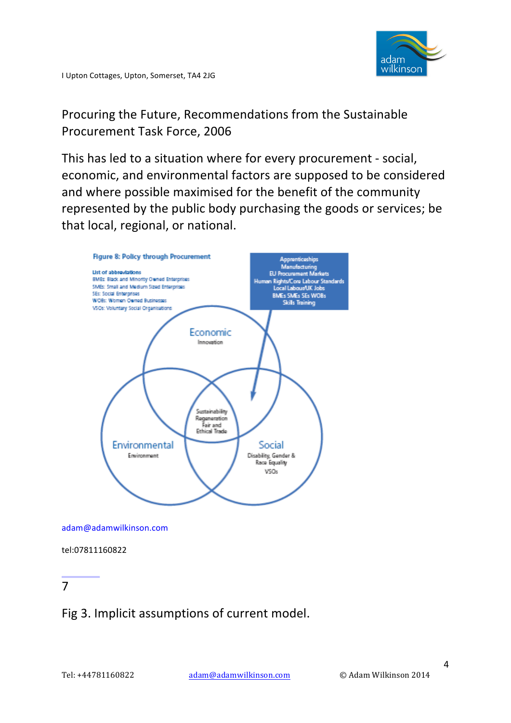

Procuring the Future, Recommendations from the Sustainable Procurement Task Force, 2006

This has led to a situation where for every procurement - social, economic, and environmental factors are supposed to be considered and where possible maximised for the benefit of the community represented by the public body purchasing the goods or services; be that local, regional, or national.



adam@adamwilkinson.com

tel:07811160822

#### 7

### Fig 3. Implicit assumptions of current model.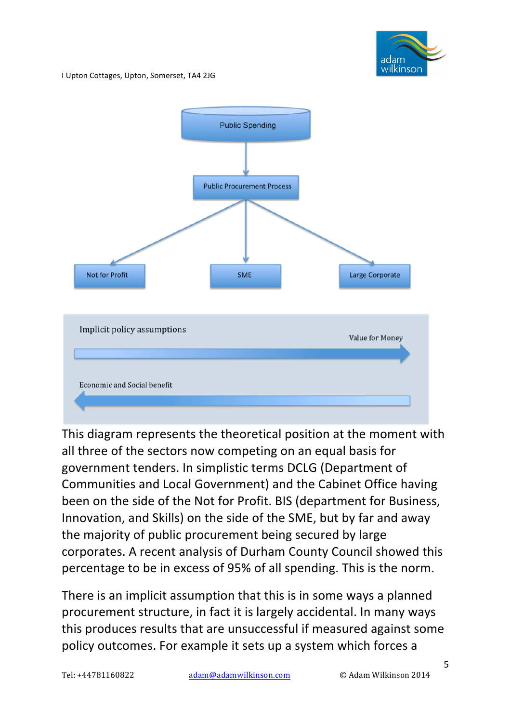

I Upton Cottages, Upton, Somerset, TA4 2JG



This diagram represents the theoretical position at the moment with all three of the sectors now competing on an equal basis for government tenders. In simplistic terms DCLG (Department of Communities and Local Government) and the Cabinet Office having been on the side of the Not for Profit. BIS (department for Business, Innovation, and Skills) on the side of the SME, but by far and away the majority of public procurement being secured by large corporates. A recent analysis of Durham County Council showed this percentage to be in excess of 95% of all spending. This is the norm.

There is an implicit assumption that this is in some ways a planned procurement structure, in fact it is largely accidental. In many ways this produces results that are unsuccessful if measured against some policy outcomes. For example it sets up a system which forces a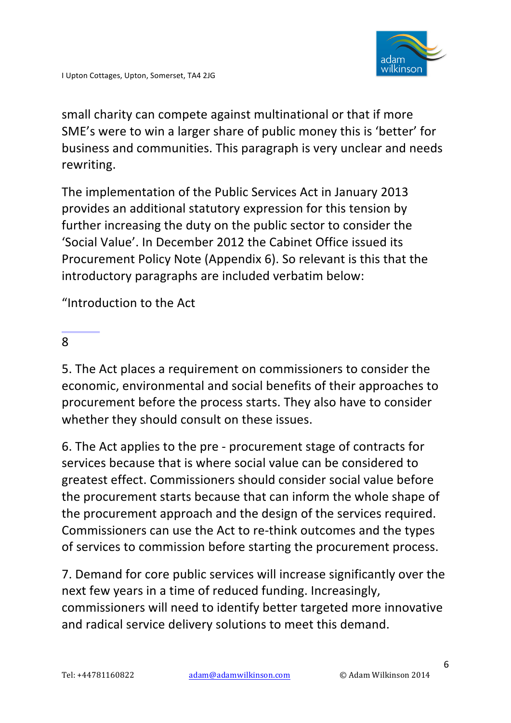

small charity can compete against multinational or that if more SME's were to win a larger share of public money this is 'better' for business and communities. This paragraph is very unclear and needs rewriting.

The implementation of the Public Services Act in January 2013 provides an additional statutory expression for this tension by further increasing the duty on the public sector to consider the 'Social Value'. In December 2012 the Cabinet Office issued its Procurement Policy Note (Appendix 6). So relevant is this that the introductory paragraphs are included verbatim below:

"Introduction to the Act

#### 8

5. The Act places a requirement on commissioners to consider the economic, environmental and social benefits of their approaches to procurement before the process starts. They also have to consider whether they should consult on these issues.

6. The Act applies to the pre - procurement stage of contracts for services because that is where social value can be considered to greatest effect. Commissioners should consider social value before the procurement starts because that can inform the whole shape of the procurement approach and the design of the services required. Commissioners can use the Act to re-think outcomes and the types of services to commission before starting the procurement process.

7. Demand for core public services will increase significantly over the next few years in a time of reduced funding. Increasingly, commissioners will need to identify better targeted more innovative and radical service delivery solutions to meet this demand.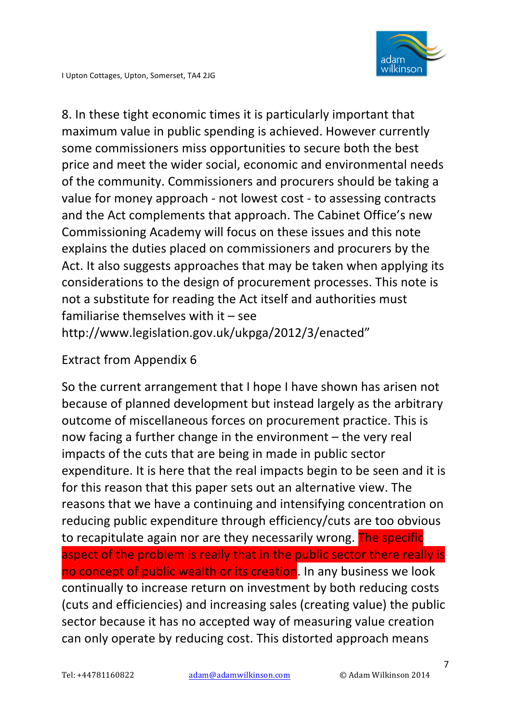8. In these tight economic times it is particularly important that maximum value in public spending is achieved. However currently some commissioners miss opportunities to secure both the best price and meet the wider social, economic and environmental needs of the community. Commissioners and procurers should be taking a value for money approach - not lowest cost - to assessing contracts and the Act complements that approach. The Cabinet Office's new Commissioning Academy will focus on these issues and this note explains the duties placed on commissioners and procurers by the Act. It also suggests approaches that may be taken when applying its considerations to the design of procurement processes. This note is not a substitute for reading the Act itself and authorities must familiarise themselves with  $it -$  see http://www.legislation.gov.uk/ukpga/2012/3/enacted"

#### Extract from Appendix 6

So the current arrangement that I hope I have shown has arisen not because of planned development but instead largely as the arbitrary outcome of miscellaneous forces on procurement practice. This is now facing a further change in the environment  $-$  the very real impacts of the cuts that are being in made in public sector expenditure. It is here that the real impacts begin to be seen and it is for this reason that this paper sets out an alternative view. The reasons that we have a continuing and intensifying concentration on reducing public expenditure through efficiency/cuts are too obvious to recapitulate again nor are they necessarily wrong. The specific aspect of the problem is really that in the public sector there really is no concept of public wealth or its creation. In any business we look continually to increase return on investment by both reducing costs (cuts and efficiencies) and increasing sales (creating value) the public sector because it has no accepted way of measuring value creation can only operate by reducing cost. This distorted approach means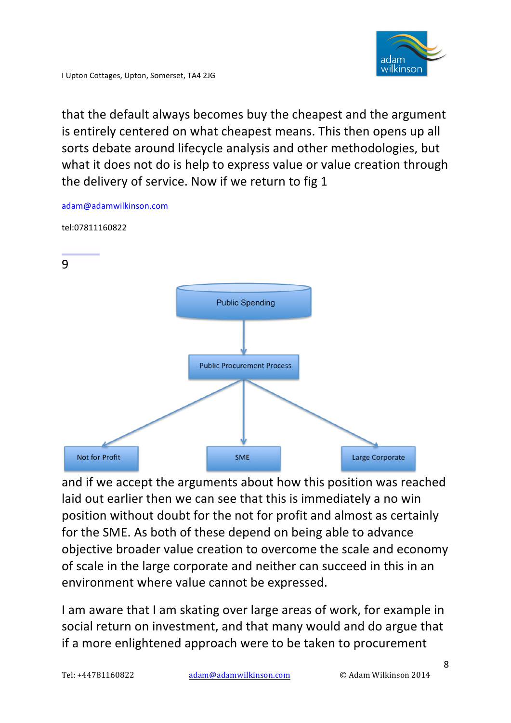

I Upton Cottages, Upton, Somerset, TA4 2JG

adam@adamwilkinson.com

that the default always becomes buy the cheapest and the argument is entirely centered on what cheapest means. This then opens up all sorts debate around lifecycle analysis and other methodologies, but what it does not do is help to express value or value creation through the delivery of service. Now if we return to fig 1



and if we accept the arguments about how this position was reached laid out earlier then we can see that this is immediately a no win position without doubt for the not for profit and almost as certainly for the SME. As both of these depend on being able to advance objective broader value creation to overcome the scale and economy of scale in the large corporate and neither can succeed in this in an environment where value cannot be expressed.

I am aware that I am skating over large areas of work, for example in social return on investment, and that many would and do argue that if a more enlightened approach were to be taken to procurement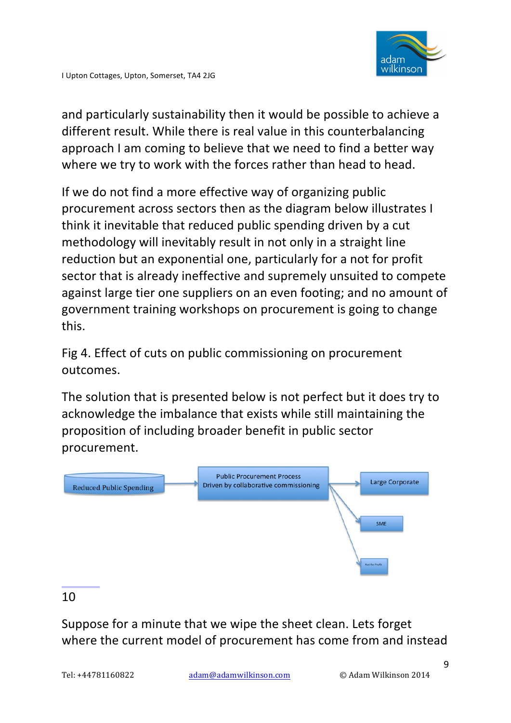and particularly sustainability then it would be possible to achieve a different result. While there is real value in this counterbalancing approach I am coming to believe that we need to find a better way where we try to work with the forces rather than head to head.

If we do not find a more effective way of organizing public procurement across sectors then as the diagram below illustrates I think it inevitable that reduced public spending driven by a cut methodology will inevitably result in not only in a straight line reduction but an exponential one, particularly for a not for profit sector that is already ineffective and supremely unsuited to compete against large tier one suppliers on an even footing; and no amount of government training workshops on procurement is going to change this.

Fig 4. Effect of cuts on public commissioning on procurement outcomes.

The solution that is presented below is not perfect but it does try to acknowledge the imbalance that exists while still maintaining the proposition of including broader benefit in public sector procurement.



#### 10

Suppose for a minute that we wipe the sheet clean. Lets forget where the current model of procurement has come from and instead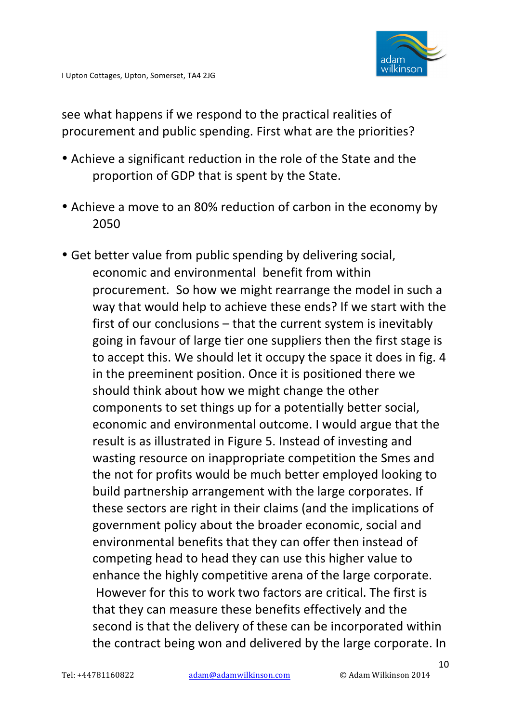see what happens if we respond to the practical realities of procurement and public spending. First what are the priorities?

- Achieve a significant reduction in the role of the State and the proportion of GDP that is spent by the State.
- Achieve a move to an 80% reduction of carbon in the economy by 2050
- Get better value from public spending by delivering social, economic and environmental benefit from within procurement. So how we might rearrange the model in such a way that would help to achieve these ends? If we start with the first of our conclusions  $-$  that the current system is inevitably going in favour of large tier one suppliers then the first stage is to accept this. We should let it occupy the space it does in fig. 4 in the preeminent position. Once it is positioned there we should think about how we might change the other components to set things up for a potentially better social, economic and environmental outcome. I would argue that the result is as illustrated in Figure 5. Instead of investing and wasting resource on inappropriate competition the Smes and the not for profits would be much better employed looking to build partnership arrangement with the large corporates. If these sectors are right in their claims (and the implications of government policy about the broader economic, social and environmental benefits that they can offer then instead of competing head to head they can use this higher value to enhance the highly competitive arena of the large corporate. However for this to work two factors are critical. The first is that they can measure these benefits effectively and the second is that the delivery of these can be incorporated within the contract being won and delivered by the large corporate. In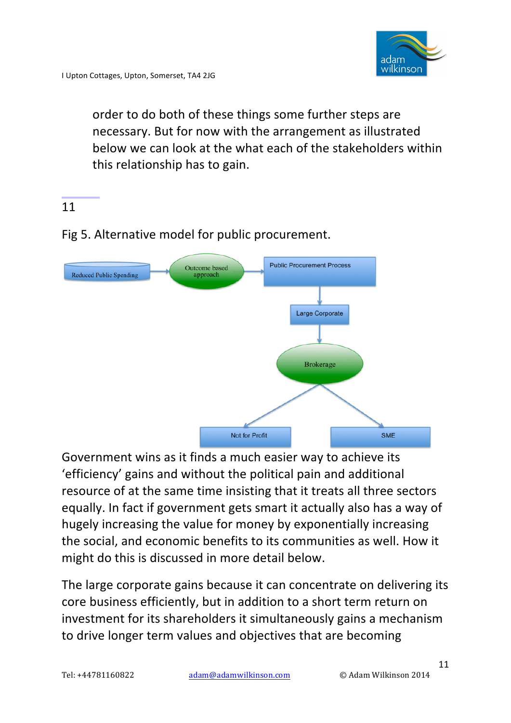

order to do both of these things some further steps are necessary. But for now with the arrangement as illustrated below we can look at the what each of the stakeholders within this relationship has to gain.

### 11

## Fig 5. Alternative model for public procurement.



Government wins as it finds a much easier way to achieve its 'efficiency' gains and without the political pain and additional resource of at the same time insisting that it treats all three sectors equally. In fact if government gets smart it actually also has a way of hugely increasing the value for money by exponentially increasing the social, and economic benefits to its communities as well. How it might do this is discussed in more detail below.

The large corporate gains because it can concentrate on delivering its core business efficiently, but in addition to a short term return on investment for its shareholders it simultaneously gains a mechanism to drive longer term values and objectives that are becoming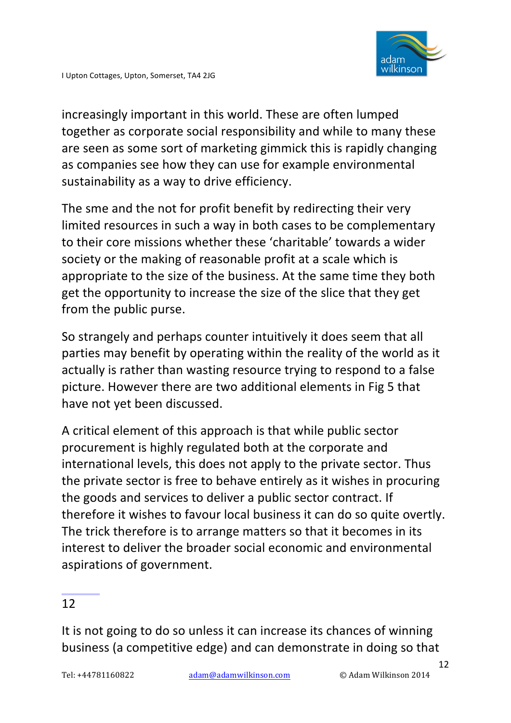

increasingly important in this world. These are often lumped together as corporate social responsibility and while to many these are seen as some sort of marketing gimmick this is rapidly changing as companies see how they can use for example environmental sustainability as a way to drive efficiency.

The sme and the not for profit benefit by redirecting their very limited resources in such a way in both cases to be complementary to their core missions whether these 'charitable' towards a wider society or the making of reasonable profit at a scale which is appropriate to the size of the business. At the same time they both get the opportunity to increase the size of the slice that they get from the public purse.

So strangely and perhaps counter intuitively it does seem that all parties may benefit by operating within the reality of the world as it actually is rather than wasting resource trying to respond to a false picture. However there are two additional elements in Fig 5 that have not yet been discussed.

A critical element of this approach is that while public sector procurement is highly regulated both at the corporate and international levels, this does not apply to the private sector. Thus the private sector is free to behave entirely as it wishes in procuring the goods and services to deliver a public sector contract. If therefore it wishes to favour local business it can do so quite overtly. The trick therefore is to arrange matters so that it becomes in its interest to deliver the broader social economic and environmental aspirations of government.

### 12

It is not going to do so unless it can increase its chances of winning business (a competitive edge) and can demonstrate in doing so that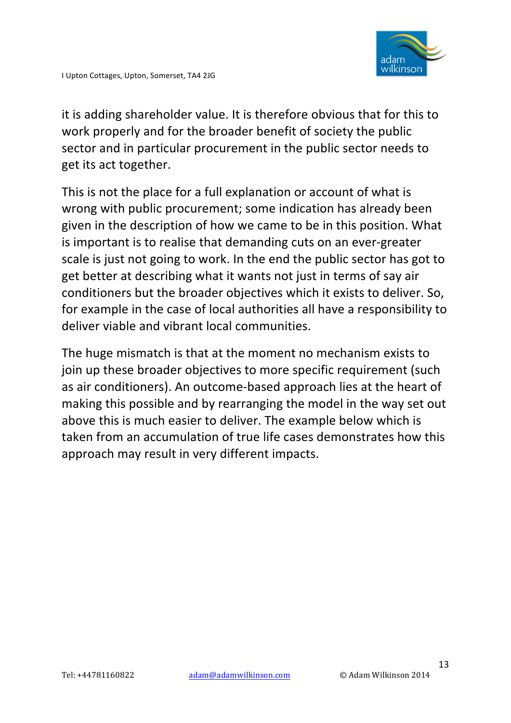it is adding shareholder value. It is therefore obvious that for this to work properly and for the broader benefit of society the public sector and in particular procurement in the public sector needs to get its act together.

This is not the place for a full explanation or account of what is wrong with public procurement; some indication has already been given in the description of how we came to be in this position. What is important is to realise that demanding cuts on an ever-greater scale is just not going to work. In the end the public sector has got to get better at describing what it wants not just in terms of say air conditioners but the broader objectives which it exists to deliver. So, for example in the case of local authorities all have a responsibility to deliver viable and vibrant local communities.

The huge mismatch is that at the moment no mechanism exists to join up these broader objectives to more specific requirement (such as air conditioners). An outcome-based approach lies at the heart of making this possible and by rearranging the model in the way set out above this is much easier to deliver. The example below which is taken from an accumulation of true life cases demonstrates how this approach may result in very different impacts.